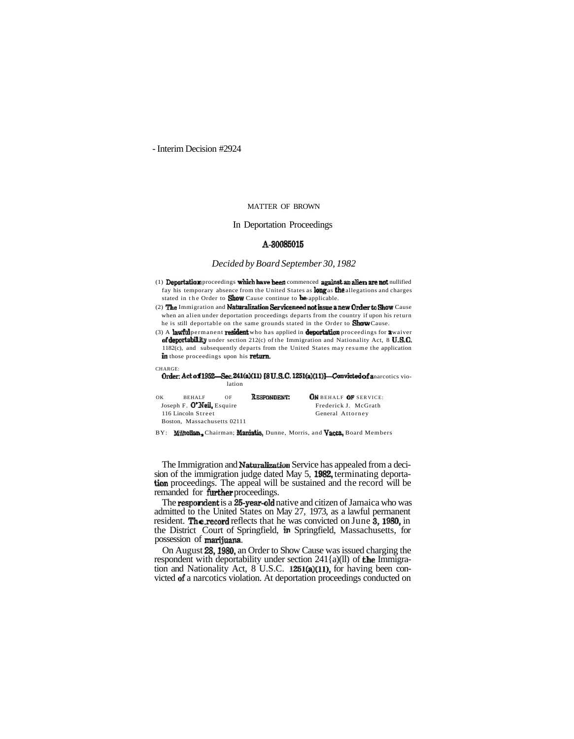- Interim Decision #2924

### MATTER OF BROWN

# In Deportation Proceedings

# A-30085015

#### *Decided by Board September 30, 1982*

(1) Deportation proceedings which have been commenced against an alien are not nullified fay his temporary absence from the United States as **long** as **the** allegations and charges stated in the Order to **Show** Cause continue to **be** applicable

(2) The Immigration and Naturalization Service need not issue a new Order to Show Cause when an alien under deportation proceedings departs from the country if upon his return he is still deportable on the same grounds stated in the Order to **Show** Cause.

(3) A lawful permanent resident who has applied in **deportation** proceedings for a waiver of deportability under section 212(c) of the Immigration and Nationality Act, 8 U.S.C. 1182(c), and subsequently departs from the United States may resume the application in those proceedings upon his return.

#### Order: Act of 1952—Sec. 241(a)(11)  $[8 U.S.C. 1251(a)(11)]$ —Convicted of a narcotics violation

| ок                        | <b>REHALE</b>               | OF | RESPONDENT: |
|---------------------------|-----------------------------|----|-------------|
| Joseph F. O'Neil, Esquire |                             |    |             |
| 116 Lincoln Street        |                             |    |             |
|                           | Boston. Massachusetts 02111 |    |             |

CHARGE:

ON BEHALF OF SERVICE --<br>Frederick J. McGrath General Attorney

BY: Milnollan, Chairman; Maniatis, Dunne, Morris, and Vacca, Board Members

The Immigration and Naturalization Service has appealed from a decision of the immigration judge dated May 5, 1982, terminating deportation proceedings. The appeal will be sustained and the record will be<br>remanded for **further proceedings.**<br>The **respondent is a 25-year-old** native and citizen of Jamaica who was

admitted to the United States on May 27, 1973, as a lawful permanent resident. The.record reflects that he was convicted on June 3,1980, in the District Court of Springfield, in Springfield, Massachusetts, for possession of marijuana.

On August 28,1980, an Order to Show Cause was issued charging the respondent with deportability under section 241{a)(ll) of **the Immigra**tion and Nationality Act, 8 U.S.C. 1251(a)(11), for having been convicted of a narcotics violation. At deportation proceedings conducted on